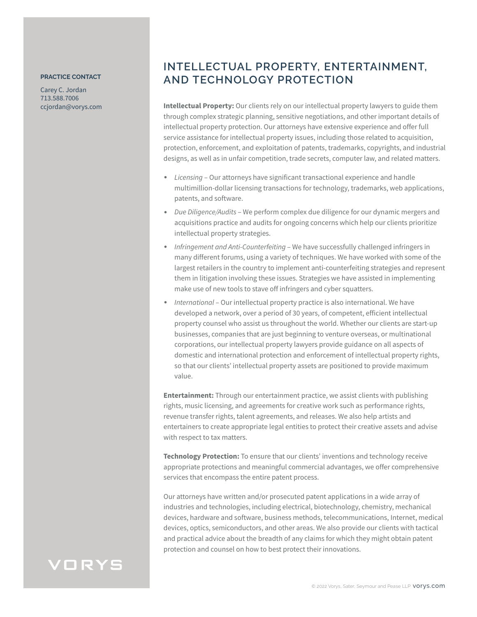## **PRACTICE CONTACT**

Carey C. Jordan 713.588.7006 ccjordan@vorys.com

## **INTELLECTUAL PROPERTY, ENTERTAINMENT, AND TECHNOLOGY PROTECTION**

**Intellectual Property:** Our clients rely on our intellectual property lawyers to guide them through complex strategic planning, sensitive negotiations, and other important details of intellectual property protection. Our attorneys have extensive experience and offer full service assistance for intellectual property issues, including those related to acquisition, protection, enforcement, and exploitation of patents, trademarks, copyrights, and industrial designs, as well as in unfair competition, trade secrets, computer law, and related matters.

- *Licensing* Our attorneys have significant transactional experience and handle multimillion-dollar licensing transactions for technology, trademarks, web applications, patents, and software.
- *Due Diligence/Audits* We perform complex due diligence for our dynamic mergers and acquisitions practice and audits for ongoing concerns which help our clients prioritize intellectual property strategies.
- *Infringement and Anti-Counterfeiting*  We have successfully challenged infringers in many different forums, using a variety of techniques. We have worked with some of the largest retailers in the country to implement anti-counterfeiting strategies and represent them in litigation involving these issues. Strategies we have assisted in implementing make use of new tools to stave off infringers and cyber squatters.
- *International* Our intellectual property practice is also international. We have developed a network, over a period of 30 years, of competent, efficient intellectual property counsel who assist us throughout the world. Whether our clients are start-up businesses, companies that are just beginning to venture overseas, or multinational corporations, our intellectual property lawyers provide guidance on all aspects of domestic and international protection and enforcement of intellectual property rights, so that our clients' intellectual property assets are positioned to provide maximum value.

**Entertainment:** Through our entertainment practice, we assist clients with publishing rights, music licensing, and agreements for creative work such as performance rights, revenue transfer rights, talent agreements, and releases. We also help artists and entertainers to create appropriate legal entities to protect their creative assets and advise with respect to tax matters.

**Technology Protection:** To ensure that our clients' inventions and technology receive appropriate protections and meaningful commercial advantages, we offer comprehensive services that encompass the entire patent process.

Our attorneys have written and/or prosecuted patent applications in a wide array of industries and technologies, including electrical, biotechnology, chemistry, mechanical devices, hardware and software, business methods, telecommunications, Internet, medical devices, optics, semiconductors, and other areas. We also provide our clients with tactical and practical advice about the breadth of any claims for which they might obtain patent protection and counsel on how to best protect their innovations.

## VORYS